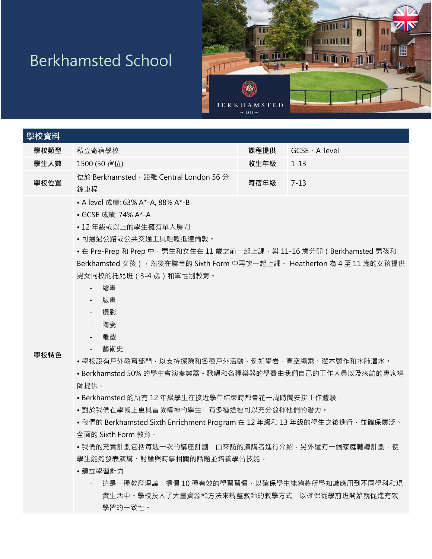## Berkhamsted School



| 學校資料 |                                               |      |                       |
|------|-----------------------------------------------|------|-----------------------|
| 學校類型 | 私立寄宿學校                                        | 課程提供 | $GCSE \cdot A$ -level |
| 學生人數 | 1500 (50 宿位)                                  | 收牛年級 | $1 - 13$              |
| 學校位置 | 位於 Berkhamsted, 距離 Central London 56 分<br>鐘車程 | 寄宿年級 | $7 - 13$              |

- A level 成績: 63% A\*-A, 88% A\*-B
- GCSE 成績: 74% A\*-A
- 12 年級或以上的學生擁有單人房間
- 可通過公路或公共交通工具輕鬆抵達倫敦。

• 在 Pre-Prep 和 Prep 中, 男生和女生在 11 歲之前一起上課, 與 11-16 歲分開 (Berkhamsted 男孩和 Berkhamsted 女孩) · 然後在聯合的 Sixth Form 中再次一起上課。 Heatherton 為 4 至 11 歳的女孩提供 男女同校的托兒班(3-4 歲)和單性別教育。

- 繪畫
- 版畫
- 攝影
- 陶瓷
- 雕塑
- 藝術史

**學校特色**

• 學校設有戶外教育部門,以支持探險和各種戶外活動﹐例如攀岩、高空繩索、灌木製作和水肺潛水。

• Berkhamsted 50% 的學生會演奏樂器。歌唱和各種樂器的學費由我們自己的工作人員以及來訪的專家導 師提供。

- Berkhamsted 的所有 12 年級學生在接近學年結束時都會花一周時間安排工作體驗。
- 對於我們在學術上更具冒險精神的學生, 有多種途徑可以充分發揮他們的潛力。

•我們的 Berkhamsted Sixth Enrichment Program 在 12 年級和 13 年級的學生之後進行,並確保廣泛、 全面的 Sixth Form 教育。

• 我們的充實計劃包括每週一次的講座計劃,由來訪的演講者進行介紹,另外還有一個家庭輔導計劃,使 學生能夠發表演講、討論與時事相關的話題並培養學習技能。

- 建立學習能力
	- 這是一種教育理論,提倡 10 種有效的學習習慣,以確保學生能夠將所學知識應用到不同學科和現 實生活中。學校投入了大量資源和方法來調整教師的教學方式,以確保從學前班開始就促進有效 學習的一致性。